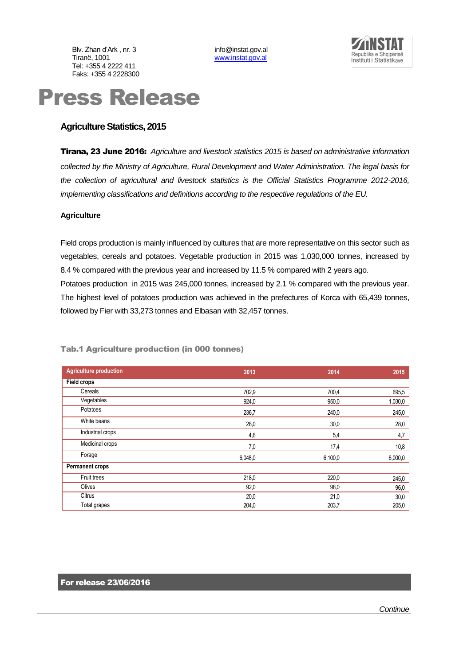Blv. Zhan d'Ark , nr. 3 info@instat.gov.al<br>Tiranë. 1001 info@instat.gov.al Tel: +355 4 2222 411 Faks: +355 4 2228300

[www.instat.gov.al](http://www.instat.gov.al/)



# Press Release

# **Agriculture Statistics, 2015**

Tirana, 23 June 2016: *Agriculture and livestock statistics 2015 is based on administrative information collected by the Ministry of Agriculture, Rural Development and Water Administration. The legal basis for the collection of agricultural and livestock statistics is the Official Statistics Programme 2012-2016, implementing classifications and definitions according to the respective regulations of the EU.* 

### **Agriculture**

Field crops production is mainly influenced by cultures that are more representative on this sector such as vegetables, cereals and potatoes. Vegetable production in 2015 was 1,030,000 tonnes, increased by 8.4 % compared with the previous year and increased by 11.5 % compared with 2 years ago. Potatoes production in 2015 was 245,000 tonnes, increased by 2.1 % compared with the previous year. The highest level of potatoes production was achieved in the prefectures of Korca with 65,439 tonnes, followed by Fier with 33,273 tonnes and Elbasan with 32,457 tonnes.

| <b>Agriculture production</b> | 2013    | 2014    | 2015    |
|-------------------------------|---------|---------|---------|
| <b>Field crops</b>            |         |         |         |
| Cereals                       | 702,9   | 700,4   | 695,5   |
| Vegetables                    | 924,0   | 950,0   | 1,030,0 |
| Potatoes                      | 236,7   | 240,0   | 245,0   |
| White beans                   | 28,0    | 30,0    | 28,0    |
| Industrial crops              | 4,6     | 5,4     | 4,7     |
| Medicinal crops               | 7,0     | 17,4    | 10,8    |
| Forage                        | 6,048,0 | 6,100,0 | 6,000,0 |
| <b>Permanent crops</b>        |         |         |         |
| Fruit trees                   | 218,0   | 220,0   | 245,0   |
| Olives                        | 92,0    | 98,0    | 96,0    |
| Citrus                        | 20,0    | 21,0    | 30,0    |
| Total grapes                  | 204,0   | 203,7   | 205,0   |

## Tab.1 Agriculture production (in 000 tonnes)

# For release 23/06/2016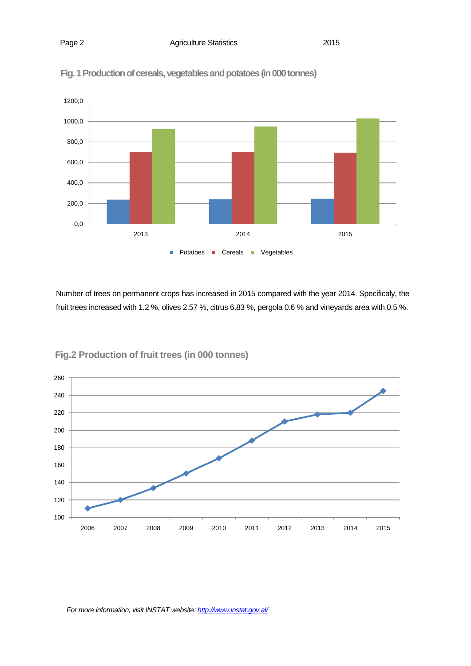

Fig. 1 Production of cereals, vegetables and potatoes (in 000 tonnes)

Number of trees on permanent crops has increased in 2015 compared with the year 2014. Specificaly, the fruit trees increased with 1.2 %, olives 2.57 %, citrus 6.83 %, pergola 0.6 % and vineyards area with 0.5 %.



**Fig.2 Production of fruit trees (in 000 tonnes)**

*For more information, visit INSTAT website: http://www.instat.gov.al/*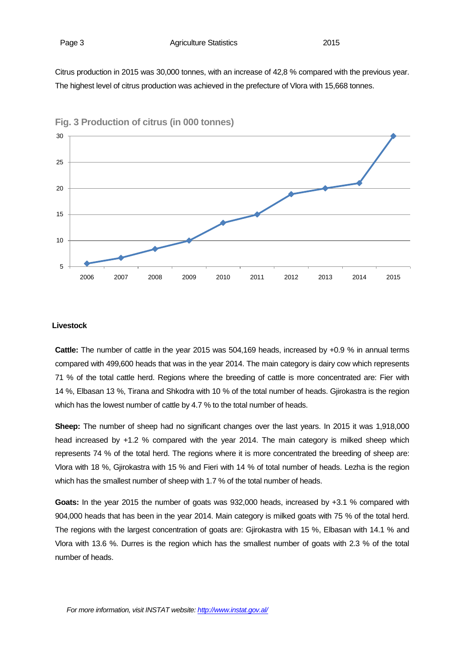Citrus production in 2015 was 30,000 tonnes, with an increase of 42,8 % compared with the previous year. The highest level of citrus production was achieved in the prefecture of Vlora with 15,668 tonnes.



**Fig. 3 Production of citrus (in 000 tonnes)**

#### **Livestock**

**Cattle:** The number of cattle in the year 2015 was 504,169 heads, increased by +0.9 % in annual terms compared with 499,600 heads that was in the year 2014. The main category is dairy cow which represents 71 % of the total cattle herd. Regions where the breeding of cattle is more concentrated are: Fier with 14 %, Elbasan 13 %, Tirana and Shkodra with 10 % of the total number of heads. Gjirokastra is the region which has the lowest number of cattle by 4.7 % to the total number of heads.

**Sheep:** The number of sheep had no significant changes over the last years. In 2015 it was 1,918,000 head increased by +1.2 % compared with the year 2014. The main category is milked sheep which represents 74 % of the total herd. The regions where it is more concentrated the breeding of sheep are: Vlora with 18 %, Gjirokastra with 15 % and Fieri with 14 % of total number of heads. Lezha is the region which has the smallest number of sheep with 1.7 % of the total number of heads.

**Goats:** In the year 2015 the number of goats was 932,000 heads, increased by +3.1 % compared with 904,000 heads that has been in the year 2014. Main category is milked goats with 75 % of the total herd. The regions with the largest concentration of goats are: Gjirokastra with 15 %, Elbasan with 14.1 % and Vlora with 13.6 %. Durres is the region which has the smallest number of goats with 2.3 % of the total number of heads.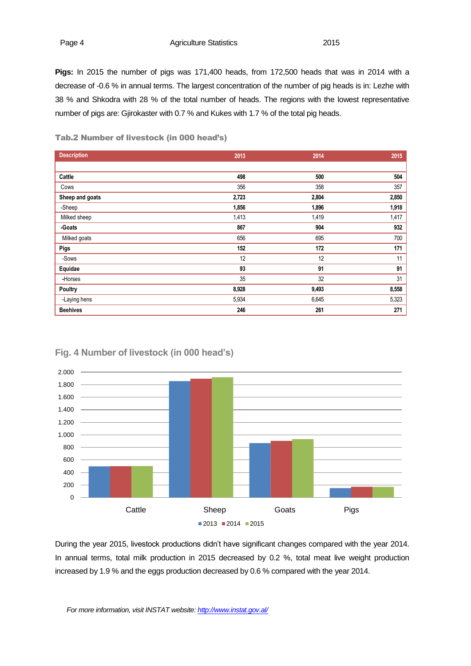**Pigs:** In 2015 the number of pigs was 171,400 heads, from 172,500 heads that was in 2014 with a decrease of -0.6 % in annual terms. The largest concentration of the number of pig heads is in: Lezhe with 38 % and Shkodra with 28 % of the total number of heads. The regions with the lowest representative number of pigs are: Gjirokaster with 0.7 % and Kukes with 1.7 % of the total pig heads.

| <b>Description</b> | 2013  | 2014  | 2015  |
|--------------------|-------|-------|-------|
|                    |       |       |       |
| Cattle             | 498   | 500   | 504   |
| Cows               | 356   | 358   | 357   |
| Sheep and goats    | 2,723 | 2,804 | 2,850 |
| -Sheep             | 1,856 | 1,896 | 1,918 |
| Milked sheep       | 1,413 | 1,419 | 1,417 |
| -Goats             | 867   | 904   | 932   |
| Milked goats       | 656   | 695   | 700   |
| Pigs               | 152   | 172   | 171   |
| -Sows              | 12    | 12    | 11    |
| Equidae            | 93    | 91    | 91    |
| -Horses            | 35    | 32    | 31    |
| Poultry            | 8,928 | 9,493 | 8,558 |
| -Laying hens       | 5,934 | 6,645 | 5,323 |
| <b>Beehives</b>    | 246   | 261   | 271   |

Tab.2 Number of livestock (in 000 head's)



# **Fig. 4 Number of livestock (in 000 head's)**

During the year 2015, livestock productions didn't have significant changes compared with the year 2014. In annual terms, total milk production in 2015 decreased by 0.2 %, total meat live weight production increased by 1.9 % and the eggs production decreased by 0.6 % compared with the year 2014.

*For more information, visit INSTAT website: http://www.instat.gov.al/*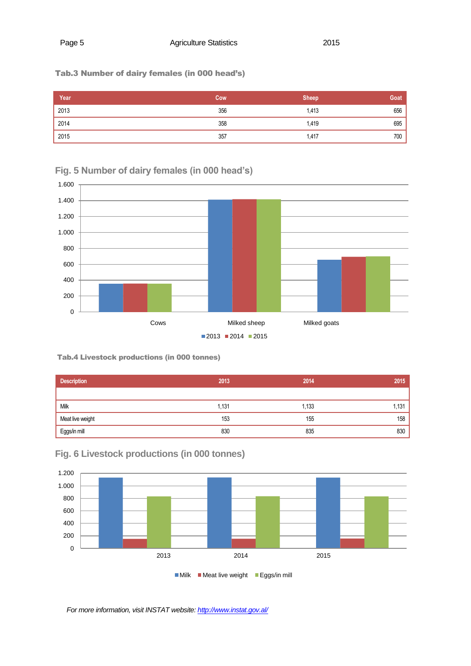# Tab.3 Number of dairy females (in 000 head's)

| Year              | Cow | <b>Sheep</b> | Goat |
|-------------------|-----|--------------|------|
| $\frac{1}{2013}$  | 356 | 1,413        | 656  |
| $\overline{2014}$ | 358 | 1,419        | 695  |
| $\overline{2015}$ | 357 | 1,417        | 700  |

**Fig. 5 Number of dairy females (in 000 head's)**



# Tab.4 Livestock productions (in 000 tonnes)

| <b>Description</b> | 2013  | 2014  | 2015  |
|--------------------|-------|-------|-------|
|                    |       |       |       |
| Milk               | 1,131 | 1,133 | 1,131 |
| Meat live weight   | 153   | 155   | 158   |
| Eggs/in mill       | 830   | 835   | 830   |



**Fig. 6 Livestock productions (in 000 tonnes)**

*For more information, visit INSTAT website: http://www.instat.gov.al/*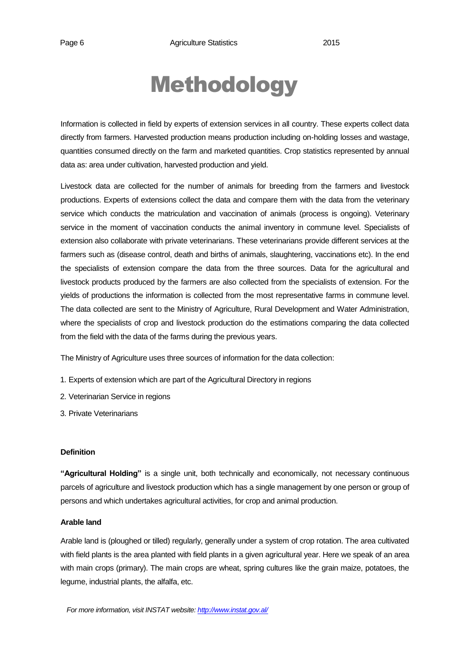# Methodology

Information is collected in field by experts of extension services in all country. These experts collect data directly from farmers. Harvested production means production including on-holding losses and wastage, quantities consumed directly on the farm and marketed quantities. Crop statistics represented by annual data as: area under cultivation, harvested production and yield.

Livestock data are collected for the number of animals for breeding from the farmers and livestock productions. Experts of extensions collect the data and compare them with the data from the veterinary service which conducts the matriculation and vaccination of animals (process is ongoing). Veterinary service in the moment of vaccination conducts the animal inventory in commune level. Specialists of extension also collaborate with private veterinarians. These veterinarians provide different services at the farmers such as (disease control, death and births of animals, slaughtering, vaccinations etc). In the end the specialists of extension compare the data from the three sources. Data for the agricultural and livestock products produced by the farmers are also collected from the specialists of extension. For the yields of productions the information is collected from the most representative farms in commune level. The data collected are sent to the Ministry of Agriculture, Rural Development and Water Administration, where the specialists of crop and livestock production do the estimations comparing the data collected from the field with the data of the farms during the previous years.

The Ministry of Agriculture uses three sources of information for the data collection:

- 1. Experts of extension which are part of the Agricultural Directory in regions
- 2. Veterinarian Service in regions
- 3. Private Veterinarians

### **Definition**

**"Agricultural Holding"** is a single unit, both technically and economically, not necessary continuous parcels of agriculture and livestock production which has a single management by one person or group of persons and which undertakes agricultural activities, for crop and animal production.

### **Arable land**

Arable land is (ploughed or tilled) regularly, generally under a system of crop rotation. The area cultivated with field plants is the area planted with field plants in a given agricultural year. Here we speak of an area with main crops (primary). The main crops are wheat, spring cultures like the grain maize, potatoes, the legume, industrial plants, the alfalfa, etc.